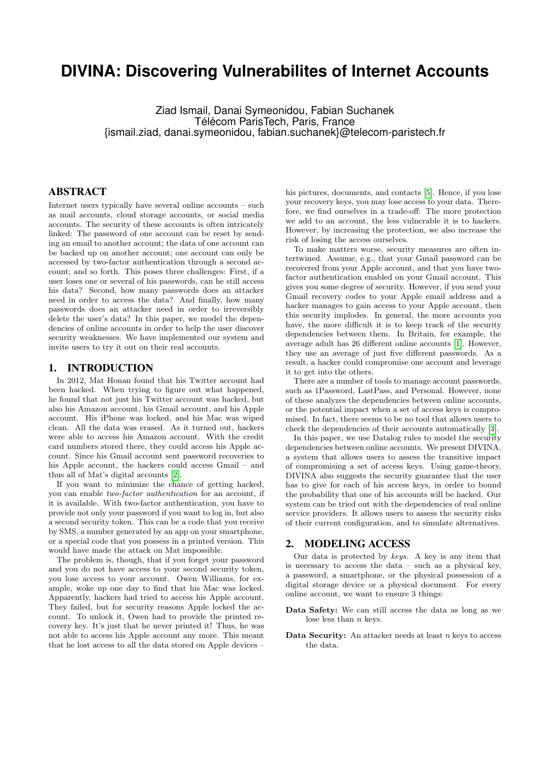# **DIVINA: Discovering Vulnerabilites of Internet Accounts**

Ziad Ismail, Danai Symeonidou, Fabian Suchanek Télécom ParisTech, Paris, France {ismail.ziad, danai.symeonidou, fabian.suchanek}@telecom-paristech.fr

### ABSTRACT

Internet users typically have several online accounts – such as mail accounts, cloud storage accounts, or social media accounts. The security of these accounts is often intricately linked: The password of one account can be reset by sending an email to another account; the data of one account can be backed up on another account; one account can only be accessed by two-factor authentication through a second account; and so forth. This poses three challenges: First, if a user loses one or several of his passwords, can he still access his data? Second, how many passwords does an attacker need in order to access the data? And finally, how many passwords does an attacker need in order to irreversibly delete the user's data? In this paper, we model the dependencies of online accounts in order to help the user discover security weaknesses. We have implemented our system and invite users to try it out on their real accounts.

#### 1. INTRODUCTION

In 2012, Mat Honan found that his Twitter account had been hacked. When trying to figure out what happened, he found that not just his Twitter account was hacked, but also his Amazon account, his Gmail account, and his Apple account. His iPhone was locked, and his Mac was wiped clean. All the data was erased. As it turned out, hackers were able to access his Amazon account. With the credit card numbers stored there, they could access his Apple account. Since his Gmail account sent password recoveries to his Apple account, the hackers could access Gmail – and thus all of Mat's digital accounts [\[2\]](#page-3-0).

If you want to minimize the chance of getting hacked, you can enable two-factor authentication for an account, if it is available. With two-factor authentication, you have to provide not only your password if you want to log in, but also a second security token. This can be a code that you receive by SMS, a number generated by an app on your smartphone, or a special code that you possess in a printed version. This would have made the attack on Mat impossible.

The problem is, though, that if you forget your password and you do not have access to your second security token, you lose access to your account. Owen Williams, for example, woke up one day to find that his Mac was locked. Apparently, hackers had tried to access his Apple account. They failed, but for security reasons Apple locked the account. To unlock it, Owen had to provide the printed recovery key. It's just that he never printed it! Thus, he was not able to access his Apple account any more. This meant that he lost access to all the data stored on Apple devices –

his pictures, documents, and contacts [\[5\]](#page-3-1). Hence, if you lose your recovery keys, you may lose access to your data. Therefore, we find ourselves in a trade-off: The more protection we add to an account, the less vulnerable it is to hackers. However, by increasing the protection, we also increase the risk of losing the access ourselves.

To make matters worse, security measures are often intertwined. Assume, e.g., that your Gmail password can be recovered from your Apple account, and that you have twofactor authentication enabled on your Gmail account. This gives you some degree of security. However, if you send your Gmail recovery codes to your Apple email address and a hacker manages to gain access to your Apple account, then this security implodes. In general, the more accounts you have, the more difficult it is to keep track of the security dependencies between them. In Britain, for example, the average adult has 26 different online accounts [\[1\]](#page-3-2). However, they use an average of just five different passwords. As a result, a hacker could compromise one account and leverage it to get into the others.

There are a number of tools to manage account passwords, such as 1Password, LastPass, and Personal. However, none of these analyzes the dependencies between online accounts, or the potential impact when a set of access keys is compromised. In fact, there seems to be no tool that allows users to check the dependencies of their accounts automatically [\[3\]](#page-3-3).

In this paper, we use Datalog rules to model the security dependencies between online accounts. We present DIVINA, a system that allows users to assess the transitive impact of compromising a set of access keys. Using game-theory, DIVINA also suggests the security guarantee that the user has to give for each of his access keys, in order to bound the probability that one of his accounts will be hacked. Our system can be tried out with the dependencies of real online service providers. It allows users to assess the security risks of their current configuration, and to simulate alternatives.

#### 2. MODELING ACCESS

Our data is protected by keys. A key is any item that is necessary to access the data – such as a physical key, a password, a smartphone, or the physical possession of a digital storage device or a physical document. For every online account, we want to ensure 3 things:

- Data Safety: We can still access the data as long as we lose less than  $n$  keys.
- Data Security: An attacker needs at least  $n$  keys to access the data.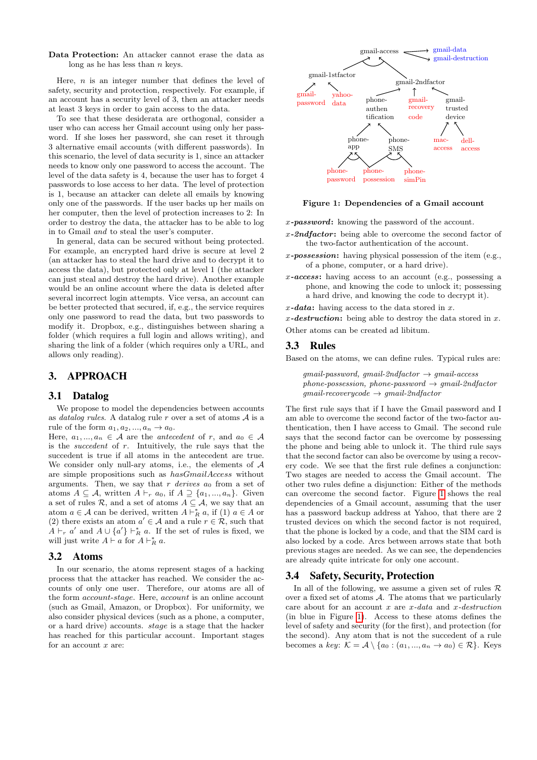Data Protection: An attacker cannot erase the data as long as he has less than  $n$  keys.

Here,  $n$  is an integer number that defines the level of safety, security and protection, respectively. For example, if an account has a security level of 3, then an attacker needs at least 3 keys in order to gain access to the data.

To see that these desiderata are orthogonal, consider a user who can access her Gmail account using only her password. If she loses her password, she can reset it through 3 alternative email accounts (with different passwords). In this scenario, the level of data security is 1, since an attacker needs to know only one password to access the account. The level of the data safety is 4, because the user has to forget 4 passwords to lose access to her data. The level of protection is 1, because an attacker can delete all emails by knowing only one of the passwords. If the user backs up her mails on her computer, then the level of protection increases to 2: In order to destroy the data, the attacker has to be able to log in to Gmail and to steal the user's computer.

In general, data can be secured without being protected. For example, an encrypted hard drive is secure at level 2 (an attacker has to steal the hard drive and to decrypt it to access the data), but protected only at level 1 (the attacker can just steal and destroy the hard drive). Another example would be an online account where the data is deleted after several incorrect login attempts. Vice versa, an account can be better protected that secured, if, e.g., the service requires only one password to read the data, but two passwords to modify it. Dropbox, e.g., distinguishes between sharing a folder (which requires a full login and allows writing), and sharing the link of a folder (which requires only a URL, and allows only reading).

## 3. APPROACH

#### 3.1 Datalog

We propose to model the dependencies between accounts as *datalog rules*. A datalog rule r over a set of atoms  $A$  is a rule of the form  $a_1, a_2, ..., a_n \rightarrow a_0$ .

Here,  $a_1, ..., a_n \in \mathcal{A}$  are the *antecedent* of r, and  $a_0 \in \mathcal{A}$ is the succedent of  $r$ . Intuitively, the rule says that the succedent is true if all atoms in the antecedent are true. We consider only null-ary atoms, i.e., the elements of  $A$ are simple propositions such as hasGmailAccess without arguments. Then, we say that r derives  $a_0$  from a set of atoms  $A \subseteq \mathcal{A}$ , written  $A \vdash_r a_0$ , if  $A \supseteq \{a_1, ..., a_n\}$ . Given a set of rules  $\mathcal{R}$ , and a set of atoms  $A \subseteq \mathcal{A}$ , we say that an atom  $a \in \mathcal{A}$  can be derived, written  $A \vdash_R^* a$ , if (1)  $a \in A$  or (2) there exists an atom  $a' \in \mathcal{A}$  and a rule  $r \in \mathcal{R}$ , such that  $A \vdash_r a'$  and  $A \cup \{a'\} \vdash_R^* a$ . If the set of rules is fixed, we will just write  $A \vdash a$  for  $A \vdash_R^* a$ .

#### 3.2 Atoms

In our scenario, the atoms represent stages of a hacking process that the attacker has reached. We consider the accounts of only one user. Therefore, our atoms are all of the form account-stage. Here, account is an online account (such as Gmail, Amazon, or Dropbox). For uniformity, we also consider physical devices (such as a phone, a computer, or a hard drive) accounts. stage is a stage that the hacker has reached for this particular account. Important stages for an account  $x$  are:



# <span id="page-1-0"></span>Figure 1: Dependencies of a Gmail account Figure 1: Dependencies of a Gmail account

x-password: knowing the password of the account.

- $x$ -2ndfactor: being able to overcome the second factor of the two-factor authentication of the account.  $\mathbf f$  $\mathbf{S}$  as Gmail, Amazon, or  $\mathbf{S}$
- x-possession: having physical possession of the item (e.g., or a hard drive) accounts. stage is a stage that the hacker or of a phone, computer, or a hard drive).
- Data Protection: An attacker cannot erase the data as  $x$ -access: having access to an account (e.g., possessing a a hard drive, and knowing the code to decrypt it). security and protection, respectively. For example, if  $\frac{1}{2}$ x-password: knowing the password of the account.  $\mathcal{P}$ phone, and knowing the code to unlock it; possessing

 $x$ -data: having access to the data stored in x.

x-destruction: being able to destroy the data stored in x. or stoms can be greated ad libitum Other atoms can be created ad libitum.

#### $3.3$  Rules  $\overline{\phantom{a}}$  $\mathcal{S}$  reset in alternative email accounts (with  $\mathcal{S}$

Based on the atoms, we can define rules. Typical rules are: curity of is 1, since only the password is 1, since only the password is such that  $\alpha$ 

all emails by knowing only one of the passwords. If  $A$  backs by  $\mathcal{A}$ 

 $gmail-password, gmail-2ndfactor \rightarrow gmail-access$  $phone\text{-}possession, phone\text{-}password \rightarrow gmail\text{-}2ndfactor$  $\emph{gmail-recoverycode} \rightarrow \emph{gmail-2ndfactor}$ 

The first rule says that if I have the Gmail password and I am able to overcome the second factor of the two-factor authentication, then I have access to Gmail. The second rule that the second says that the second factor can be overcome by possessing the phone and being able to unlock it. The third rule says that the second factor can also be overcome by using a recovery code. We see that the first rule defines a conjunction: Two stages are needed to access the Gmail account. The other two rules define a disjunction: Either of the methods can overcome the second factor. Figure [1](#page-1-0) shows the real  $\begin{bmatrix} 1 & 0 \\ 0 & 0 \end{bmatrix}$  and  $\begin{bmatrix} 0 & 0 \\ 0 & 1 \end{bmatrix}$  and secured,  $\begin{bmatrix} 0 & 0 \\ 0 & 1 \end{bmatrix}$  and secured,  $\begin{bmatrix} 0 & 0 \\ 0 & 1 \end{bmatrix}$ dependencies of a Gmail account, assuming that the user has a password backup address at Yahoo, that there are 2 trusted devices on which the second factor is not required, that the phone is locked by a code, and that the SIM card is also locked by a code. Arcs between arrows state that both are already quite intricate for only one account.  $\mathbf{F}$  if I have the Gmail password and I have the Gmail password and I have the Gmail password and I have the Gmail password and I have the Gmail password and I have the Gmail password and I have the Gmail password and  $\int_{0}^{\infty}$  $\mathbf S$ says that the second factor can be overcome by possessing  $t = \frac{1}{\sqrt{2}}$ that the second factor can also be overcome by using a recovery code. We see that the first rule defines a conjunction:  $T_{\rm eff}$  $\mathbf{I}$  two rules define a disjunction: Either of the methods of the methods of the methods of the methods of the methods of the methods of the methods of the methods of the methods of the methods of the methods of the m can overcome the second factor. Figure 1 shows the real  $\mathbf{d}$  $\frac{1}{\sqrt{2}}$ that the phone is locked by a code, and that the SIM card is  $\mathbf{a}$  $\mathbf{s}$ previous stages are needed. As we can see, the dependencies

#### 3.4 Safety, Security, Protection

In all of the following, we assume a given set of rules  $\mathcal R$ over a fixed set of atoms A. The atoms that we particularly care about for an account  $x$  are  $x$ -data and  $x$ -destruction (in blue in Figure [1\)](#page-1-0). Access to these atoms defines the level of safety and security (for the first), and protection (for the second). Any atom that is not the succedent of a rule becomes a key:  $\mathcal{K} = \mathcal{A} \setminus \{a_0 : (a_1, ..., a_n \to a_0) \in \mathcal{R}\}.$  Keys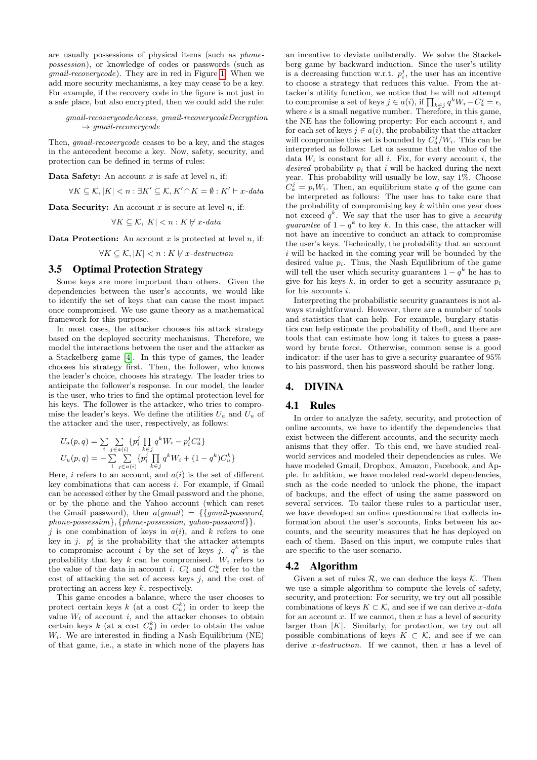are usually possessions of physical items (such as phonepossession), or knowledge of codes or passwords (such as gmail-recoverycode). They are in red in Figure [1.](#page-1-0) When we add more security mechanisms, a key may cease to be a key. For example, if the recovery code in the figure is not just in a safe place, but also encrypted, then we could add the rule:

gmail-recoverycodeAccess, gmail-recoverycodeDecryption  $\rightarrow$  amail-recoverycode

Then, gmail-recoverycode ceases to be a key, and the stages in the antecedent become a key. Now, safety, security, and protection can be defined in terms of rules:

Data Safety: An account  $x$  is safe at level  $n$ , if:

$$
\forall K \subseteq \mathcal{K}, |K| < n : \exists K' \subseteq \mathcal{K}, K' \cap K = \emptyset : K' \vdash x\text{-data}
$$

Data Security: An account  $x$  is secure at level  $n$ , if:

$$
\forall K \subseteq \mathcal{K}, |K| < n: K \not\vdash x\text{-data}
$$

**Data Protection:** An account x is protected at level n, if:

 $\forall K \subseteq \mathcal{K}, |K| < n : K \forall x\text{-}destination$ 

#### 3.5 Optimal Protection Strategy

Some keys are more important than others. Given the dependencies between the user's accounts, we would like to identify the set of keys that can cause the most impact once compromised. We use game theory as a mathematical framework for this purpose.

In most cases, the attacker chooses his attack strategy based on the deployed security mechanisms. Therefore, we model the interactions between the user and the attacker as a Stackelberg game [\[4\]](#page-3-4). In this type of games, the leader chooses his strategy first. Then, the follower, who knows the leader's choice, chooses his strategy. The leader tries to anticipate the follower's response. In our model, the leader is the user, who tries to find the optimal protection level for his keys. The follower is the attacker, who tries to compromise the leader's keys. We define the utilities  $U_a$  and  $U_u$  of the attacker and the user, respectively, as follows:

$$
U_a(p,q) = \sum_{i} \sum_{j \in a(i)} \{p_i^j \prod_{k \in j} q^k W_i - p_i^j C_a^j\}
$$
  

$$
U_u(p,q) = -\sum_{i} \sum_{j \in a(i)} \{p_i^j \prod_{k \in j} q^k W_i + (1 - q^k) C_u^k\}
$$

Here, i refers to an account, and  $a(i)$  is the set of different key combinations that can access  $i$ . For example, if Gmail can be accessed either by the Gmail password and the phone, or by the phone and the Yahoo account (which can reset the Gmail password), then  $a(gmail) = \{ \}gmail-password,$ phone-possession}, {phone-possession, yahoo-password}}.

j is one combination of keys in  $a(i)$ , and k refers to one key in j.  $p_i^j$  is the probability that the attacker attempts to compromise account i by the set of keys j.  $q^k$  is the probability that key k can be compromised.  $W_i$  refers to the value of the data in account *i*.  $C_a^j$  and  $C_u^k$  refer to the cost of attacking the set of access keys  $j$ , and the cost of protecting an access key k, respectively.

This game encodes a balance, where the user chooses to protect certain keys  $k$  (at a cost  $C_u^k$ ) in order to keep the value  $W_i$  of account i, and the attacker chooses to obtain certain keys  $k$  (at a cost  $C_a^k$ ) in order to obtain the value  $W_i$ . We are interested in finding a Nash Equilibrium (NE) of that game, i.e., a state in which none of the players has

an incentive to deviate unilaterally. We solve the Stackelberg game by backward induction. Since the user's utility is a decreasing function w.r.t.  $p_i^j$ , the user has an incentive to choose a strategy that reduces this value. From the attacker's utility function, we notice that he will not attempt to compromise a set of keys  $j \in a(i)$ , if  $\prod_{k \in j} q^k W_i - C_a^j = \epsilon$ , where  $\epsilon$  is a small negative number. Therefore, in this game, the NE has the following property: For each account  $i$ , and for each set of keys  $j \in a(i)$ , the probability that the attacker will compromise this set is bounded by  $C_a^j/W_i$ . This can be interpreted as follows: Let us assume that the value of the data  $W_i$  is constant for all i. Fix, for every account i, the desired probability  $p_i$  that i will be hacked during the next year. This probability will usually be low, say 1%. Choose  $C_a^j = p_i W_i$ . Then, an equilibrium state q of the game can be interpreted as follows: The user has to take care that the probability of compromising key  $k$  within one year does not exceed  $q^k$ . We say that the user has to give a security guarantee of  $1 - q^k$  to key k. In this case, the attacker will not have an incentive to conduct an attack to compromise the user's keys. Technically, the probability that an account  $i$  will be hacked in the coming year will be bounded by the desired value  $p_i$ . Thus, the Nash Equilibrium of the game will tell the user which security guarantees  $1 - q^k$  he has to give for his keys k, in order to get a security assurance  $p_i$ for his accounts  $i$ .

Interpreting the probabilistic security guarantees is not always straightforward. However, there are a number of tools and statistics that can help. For example, burglary statistics can help estimate the probability of theft, and there are tools that can estimate how long it takes to guess a password by brute force. Otherwise, common sense is a good indicator: if the user has to give a security guarantee of 95% to his password, then his password should be rather long.

#### 4. DIVINA

#### 4.1 Rules

In order to analyze the safety, security, and protection of online accounts, we have to identify the dependencies that exist between the different accounts, and the security mechanisms that they offer. To this end, we have studied realworld services and modeled their dependencies as rules. We have modeled Gmail, Dropbox, Amazon, Facebook, and Apple. In addition, we have modeled real-world dependencies, such as the code needed to unlock the phone, the impact of backups, and the effect of using the same password on several services. To tailor these rules to a particular user, we have developed an online questionnaire that collects information about the user's accounts, links between his accounts, and the security measures that he has deployed on each of them. Based on this input, we compute rules that are specific to the user scenario.

#### 4.2 Algorithm

Given a set of rules  $R$ , we can deduce the keys  $K$ . Then we use a simple algorithm to compute the levels of safety, security, and protection: For security, we try out all possible combinations of keys  $K \subset \mathcal{K}$ , and see if we can derive x-data for an account  $x$ . If we cannot, then  $x$  has a level of security larger than  $|K|$ . Similarly, for protection, we try out all possible combinations of keys  $K \subset \mathcal{K}$ , and see if we can derive x-destruction. If we cannot, then x has a level of